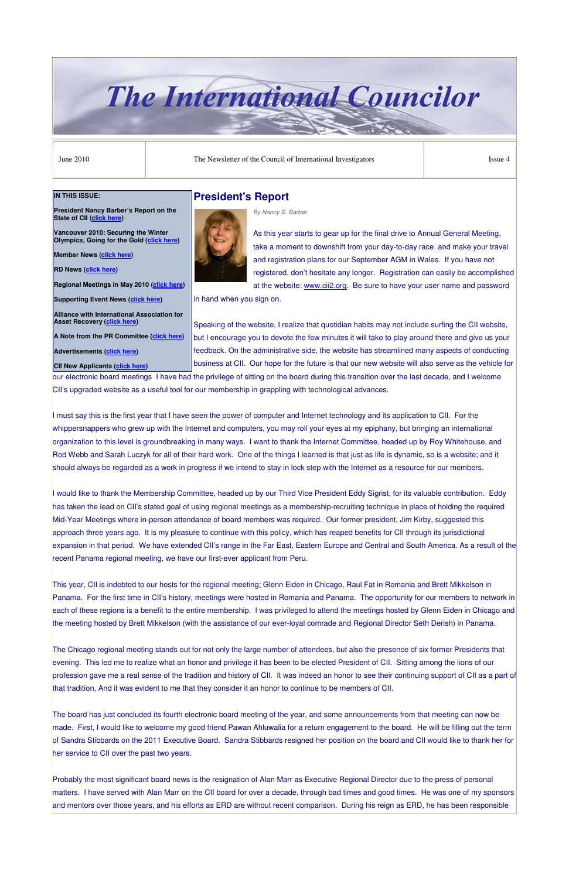# **The International Councilor**

June 2010 **The Newsletter of the Council of International Investigators** Issue 4

### **President's Report**



*By Nancy S. Barber*

As this year starts to gear up for the final drive to Annual General Meeting, take a moment to downshift from your day-to-day race and make your travel and registration plans for our September AGM in Wales. If you have not registered, don't hesitate any longer. Registration can easily be accomplished at the website: www.cii2.org. Be sure to have your user name and password

in hand when you sign on.

Speaking of the website, I realize that quotidian habits may not include surfing the CII website, but I encourage you to devote the few minutes it will take to play around there and give us your feedback. On the administrative side, the website has streamlined many aspects of conducting business at CII. Our hope for the future is that our new website will also serve as the vehicle for

our electronic board meetings I have had the privilege of sitting on the board during this transition over the last decade, and I welcome CII's upgraded website as a useful tool for our membership in grappling with technological advances.

I must say this is the first year that I have seen the power of computer and Internet technology and its application to CII. For the whippersnappers who grew up with the Internet and computers, you may roll your eyes at my epiphany, but bringing an international organization to this level is groundbreaking in many ways. I want to thank the Internet Committee, headed up by Roy Whitehouse, and Rod Webb and Sarah Luczyk for all of their hard work. One of the things I learned is that just as life is dynamic, so is a website; and it should always be regarded as a work in progress if we intend to stay in lock step with the Internet as a resource for our members.

I would like to thank the Membership Committee, headed up by our Third Vice President Eddy Sigrist, for its valuable contribution. Eddy has taken the lead on CII's stated goal of using regional meetings as a membership-recruiting technique in place of holding the required Mid-Year Meetings where in-person attendance of board members was required. Our former president, Jim Kirby, suggested this approach three years ago. It is my pleasure to continue with this policy, which has reaped benefits for CII through its jurisdictional expansion in that period. We have extended CII's range in the Far East, Eastern Europe and Central and South America. As a result of the recent Panama regional meeting, we have our first-ever applicant from Peru.

**Vancouver 2010: Securing the Winter Olympics, Going for the Gold (click here)** 

This year, CII is indebted to our hosts for the regional meeting; Glenn Eiden in Chicago, Raul Fat in Romania and Brett Mikkelson in Panama. For the first time in CII's history, meetings were hosted in Romania and Panama. The opportunity for our members to network in each of these regions is a benefit to the entire membership. I was privileged to attend the meetings hosted by Glenn Eiden in Chicago and the meeting hosted by Brett Mikkelson (with the assistance of our ever-loyal comrade and Regional Director Seth Derish) in Panama.

The Chicago regional meeting stands out for not only the large number of attendees, but also the presence of six former Presidents that evening. This led me to realize what an honor and privilege it has been to be elected President of CII. Sitting among the lions of our profession gave me a real sense of the tradition and history of CII. It was indeed an honor to see their continuing support of CII as a part of that tradition, And it was evident to me that they consider it an honor to continue to be members of CII.

The board has just concluded its fourth electronic board meeting of the year, and some announcements from that meeting can now be made. First, I would like to welcome my good friend Pawan Ahluwalia for a return engagement to the board. He will be filling out the term of Sandra Stibbards on the 2011 Executive Board. Sandra Stibbards resigned her position on the board and CII would like to thank her for her service to CII over the past two years.

Probably the most significant board news is the resignation of Alan Marr as Executive Regional Director due to the press of personal matters. I have served with Alan Marr on the CII board for over a decade, through bad times and good times. He was one of my sponsors and mentors over those years, and his efforts as ERD are without recent comparison. During his reign as ERD, he has been responsible

#### **IN THIS ISSUE:**

**President Nancy Barber's Report on the State of CII (click here)** 

**Member News (click here)** 

**RD News (click here)** 

**Regional Meetings in May 2010 (click here)**

**Supporting Event News (click here)** 

**Alliance with International Association for Asset Recovery (click here)** 

**A Note from the PR Committee (click here)** 

**Advertisements (click here)** 

**CII New Applicants (click here)**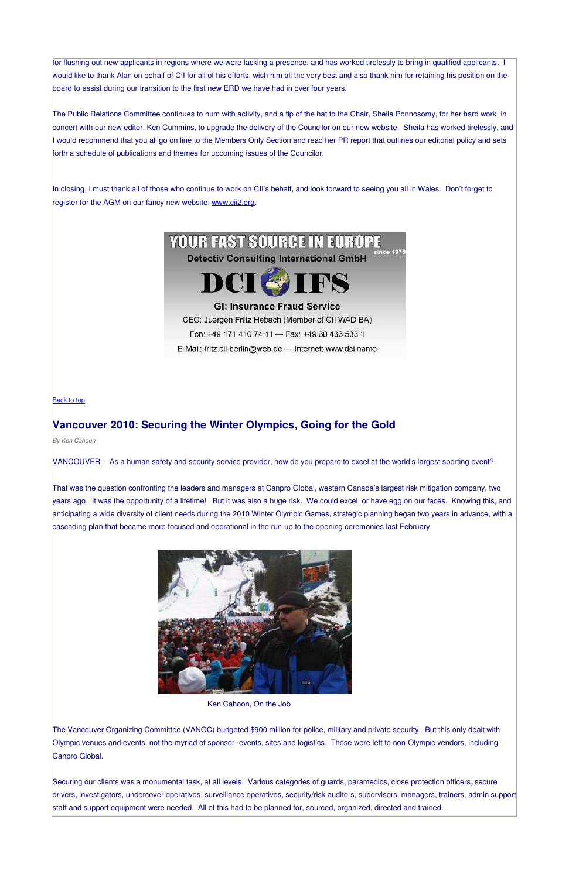for flushing out new applicants in regions where we were lacking a presence, and has worked tirelessly to bring in qualified applicants. I would like to thank Alan on behalf of CII for all of his efforts, wish him all the very best and also thank him for retaining his position on the board to assist during our transition to the first new ERD we have had in over four years.

The Public Relations Committee continues to hum with activity, and a tip of the hat to the Chair, Sheila Ponnosomy, for her hard work, in concert with our new editor, Ken Cummins, to upgrade the delivery of the Councilor on our new website. Sheila has worked tirelessly, and I would recommend that you all go on line to the Members Only Section and read her PR report that outlines our editorial policy and sets forth a schedule of publications and themes for upcoming issues of the Councilor.

In closing, I must thank all of those who continue to work on CII's behalf, and look forward to seeing you all in Wales. Don't forget to register for the AGM on our fancy new website: www.cii2.org.

# **YOUR FAST SOURCE IN EUROPE**

**Detectiv Consulting International GmbH** 



## **GI: Insurance Fraud Service**

CEO: Juergen Fritz Hebach (Member of CII WAD BA)

Fon: +49 171 410 74 11 - Fax: +49 30 433 533 1

E-Mail: fritz.cii-berlin@web.de - Internet: www.dci.name

#### Back to top

# **Vancouver 2010: Securing the Winter Olympics, Going for the Gold**

*By Ken Cahoon*

VANCOUVER -- As a human safety and security service provider, how do you prepare to excel at the world's largest sporting event?

That was the question confronting the leaders and managers at Canpro Global, western Canada's largest risk mitigation company, two years ago. It was the opportunity of a lifetime! But it was also a huge risk. We could excel, or have egg on our faces. Knowing this, and anticipating a wide diversity of client needs during the 2010 Winter Olympic Games, strategic planning began two years in advance, with a cascading plan that became more focused and operational in the run-up to the opening ceremonies last February.



#### Ken Cahoon, On the Job

The Vancouver Organizing Committee (VANOC) budgeted \$900 million for police, military and private security. But this only dealt with Olympic venues and events, not the myriad of sponsor- events, sites and logistics. Those were left to non-Olympic vendors, including Canpro Global.

Securing our clients was a monumental task, at all levels. Various categories of guards, paramedics, close protection officers, secure drivers, investigators, undercover operatives, surveillance operatives, security/risk auditors, supervisors, managers, trainers, admin support staff and support equipment were needed. All of this had to be planned for, sourced, organized, directed and trained.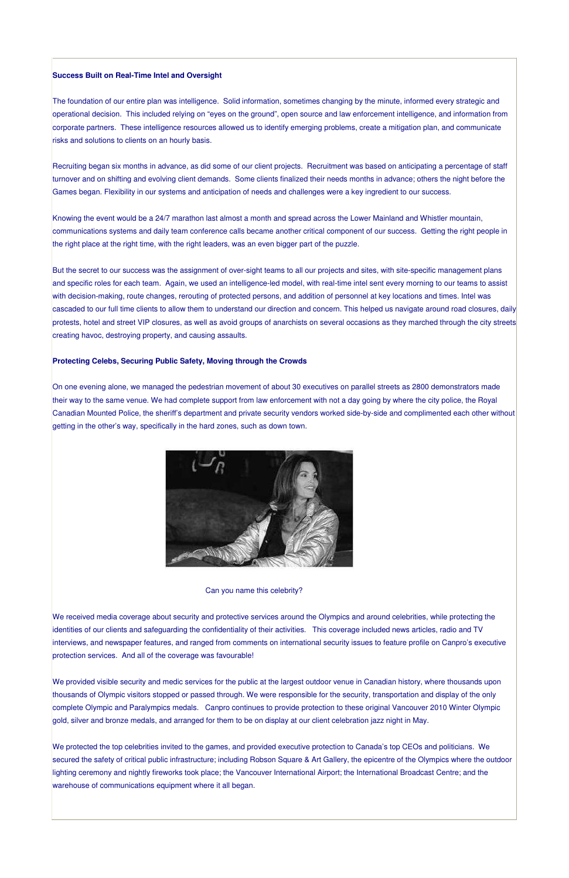#### **Success Built on Real-Time Intel and Oversight**

The foundation of our entire plan was intelligence. Solid information, sometimes changing by the minute, informed every strategic and operational decision. This included relying on "eyes on the ground", open source and law enforcement intelligence, and information from corporate partners. These intelligence resources allowed us to identify emerging problems, create a mitigation plan, and communicate risks and solutions to clients on an hourly basis.

Recruiting began six months in advance, as did some of our client projects. Recruitment was based on anticipating a percentage of staff turnover and on shifting and evolving client demands. Some clients finalized their needs months in advance; others the night before the Games began. Flexibility in our systems and anticipation of needs and challenges were a key ingredient to our success.

Knowing the event would be a 24/7 marathon last almost a month and spread across the Lower Mainland and Whistler mountain, communications systems and daily team conference calls became another critical component of our success. Getting the right people in the right place at the right time, with the right leaders, was an even bigger part of the puzzle.

But the secret to our success was the assignment of over-sight teams to all our projects and sites, with site-specific management plans and specific roles for each team. Again, we used an intelligence-led model, with real-time intel sent every morning to our teams to assist with decision-making, route changes, rerouting of protected persons, and addition of personnel at key locations and times. Intel was cascaded to our full time clients to allow them to understand our direction and concern. This helped us navigate around road closures, daily protests, hotel and street VIP closures, as well as avoid groups of anarchists on several occasions as they marched through the city streets creating havoc, destroying property, and causing assaults.

#### **Protecting Celebs, Securing Public Safety, Moving through the Crowds**

On one evening alone, we managed the pedestrian movement of about 30 executives on parallel streets as 2800 demonstrators made their way to the same venue. We had complete support from law enforcement with not a day going by where the city police, the Royal Canadian Mounted Police, the sheriff's department and private security vendors worked side-by-side and complimented each other without getting in the other's way, specifically in the hard zones, such as down town.



Can you name this celebrity?

We received media coverage about security and protective services around the Olympics and around celebrities, while protecting the identities of our clients and safeguarding the confidentiality of their activities. This coverage included news articles, radio and TV interviews, and newspaper features, and ranged from comments on international security issues to feature profile on Canpro's executive protection services. And all of the coverage was favourable!

We provided visible security and medic services for the public at the largest outdoor venue in Canadian history, where thousands upon thousands of Olympic visitors stopped or passed through. We were responsible for the security, transportation and display of the only complete Olympic and Paralympics medals. Canpro continues to provide protection to these original Vancouver 2010 Winter Olympic gold, silver and bronze medals, and arranged for them to be on display at our client celebration jazz night in May.

We protected the top celebrities invited to the games, and provided executive protection to Canada's top CEOs and politicians. We secured the safety of critical public infrastructure; including Robson Square & Art Gallery, the epicentre of the Olympics where the outdoor lighting ceremony and nightly fireworks took place; the Vancouver International Airport; the International Broadcast Centre; and the warehouse of communications equipment where it all began.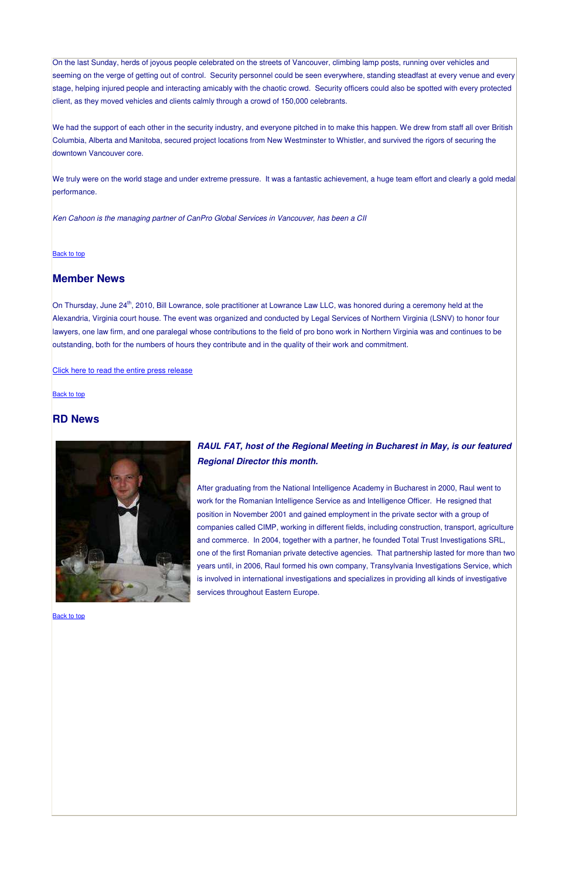On the last Sunday, herds of joyous people celebrated on the streets of Vancouver, climbing lamp posts, running over vehicles and seeming on the verge of getting out of control. Security personnel could be seen everywhere, standing steadfast at every venue and every stage, helping injured people and interacting amicably with the chaotic crowd. Security officers could also be spotted with every protected client, as they moved vehicles and clients calmly through a crowd of 150,000 celebrants.

We truly were on the world stage and under extreme pressure. It was a fantastic achievement, a huge team effort and clearly a gold medal performance.

We had the support of each other in the security industry, and everyone pitched in to make this happen. We drew from staff all over British Columbia, Alberta and Manitoba, secured project locations from New Westminster to Whistler, and survived the rigors of securing the downtown Vancouver core.

On Thursday, June 24<sup>th</sup>, 2010, Bill Lowrance, sole practitioner at Lowrance Law LLC, was honored during a ceremony held at the Alexandria, Virginia court house. The event was organized and conducted by Legal Services of Northern Virginia (LSNV) to honor four lawyers, one law firm, and one paralegal whose contributions to the field of pro bono work in Northern Virginia was and continues to be outstanding, both for the numbers of hours they contribute and in the quality of their work and commitment.

*Ken Cahoon is the managing partner of CanPro Global Services in Vancouver, has been a CII*

#### **Back to top**

# **Member News**

#### Click here to read the entire press release

**Back to top** 

# **RD News**



# *RAUL FAT, host of the Regional Meeting in Bucharest in May, is our featured Regional Director this month.*

After graduating from the National Intelligence Academy in Bucharest in 2000, Raul went to work for the Romanian Intelligence Service as and Intelligence Officer. He resigned that position in November 2001 and gained employment in the private sector with a group of companies called CIMP, working in different fields, including construction, transport, agriculture and commerce. In 2004, together with a partner, he founded Total Trust Investigations SRL, one of the first Romanian private detective agencies. That partnership lasted for more than two years until, in 2006, Raul formed his own company, Transylvania Investigations Service, which is involved in international investigations and specializes in providing all kinds of investigative services throughout Eastern Europe.

Back to top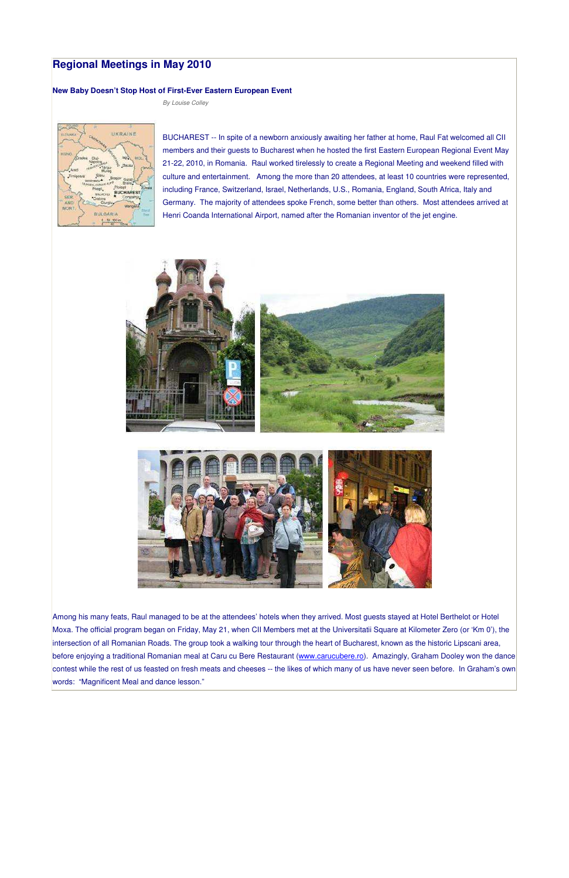# **Regional Meetings in May 2010**

#### **New Baby Doesn't Stop Host of First-Ever Eastern European Event**

*By Louise Colley*



BUCHAREST -- In spite of a newborn anxiously awaiting her father at home, Raul Fat welcomed all CII members and their guests to Bucharest when he hosted the first Eastern European Regional Event May 21-22, 2010, in Romania. Raul worked tirelessly to create a Regional Meeting and weekend filled with culture and entertainment. Among the more than 20 attendees, at least 10 countries were represented, including France, Switzerland, Israel, Netherlands, U.S., Romania, England, South Africa, Italy and Germany. The majority of attendees spoke French, some better than others. Most attendees arrived at Henri Coanda International Airport, named after the Romanian inventor of the jet engine.





Among his many feats, Raul managed to be at the attendees' hotels when they arrived. Most guests stayed at Hotel Berthelot or Hotel Moxa. The official program began on Friday, May 21, when CII Members met at the Universitatii Square at Kilometer Zero (or 'Km 0'), the intersection of all Romanian Roads. The group took a walking tour through the heart of Bucharest, known as the historic Lipscani area, before enjoying a traditional Romanian meal at Caru cu Bere Restaurant (www.carucubere.ro). Amazingly, Graham Dooley won the dance contest while the rest of us feasted on fresh meats and cheeses -- the likes of which many of us have never seen before. In Graham's own words: "Magnificent Meal and dance lesson."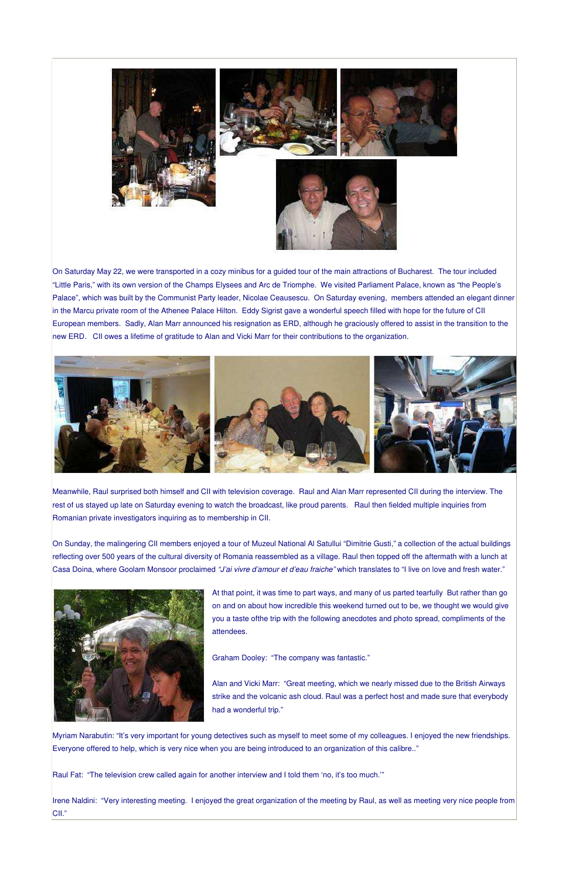

On Saturday May 22, we were transported in a cozy minibus for a guided tour of the main attractions of Bucharest. The tour included "Little Paris," with its own version of the Champs Elysees and Arc de Triomphe. We visited Parliament Palace, known as "the People's Palace", which was built by the Communist Party leader, Nicolae Ceausescu. On Saturday evening, members attended an elegant dinner in the Marcu private room of the Athenee Palace Hilton. Eddy Sigrist gave a wonderful speech filled with hope for the future of CII European members. Sadly, Alan Marr announced his resignation as ERD, although he graciously offered to assist in the transition to the new ERD. CII owes a lifetime of gratitude to Alan and Vicki Marr for their contributions to the organization.



Meanwhile, Raul surprised both himself and CII with television coverage. Raul and Alan Marr represented CII during the interview. The rest of us stayed up late on Saturday evening to watch the broadcast, like proud parents. Raul then fielded multiple inquiries from Romanian private investigators inquiring as to membership in CII.

On Sunday, the malingering CII members enjoyed a tour of Muzeul National Al Satullui "Dimitrie Gusti," a collection of the actual buildings reflecting over 500 years of the cultural diversity of Romania reassembled as a village. Raul then topped off the aftermath with a lunch at Casa Doina, where Goolam Monsoor proclaimed *"J'ai vivre d'amour et d'eau fraiche"* which translates to "I live on love and fresh water."



At that point, it was time to part ways, and many of us parted tearfully But rather than go on and on about how incredible this weekend turned out to be, we thought we would give you a taste ofthe trip with the following anecdotes and photo spread, compliments of the attendees.

Graham Dooley: "The company was fantastic."

Alan and Vicki Marr: "Great meeting, which we nearly missed due to the British Airways strike and the volcanic ash cloud. Raul was a perfect host and made sure that everybody had a wonderful trip."

Myriam Narabutin: "It's very important for young detectives such as myself to meet some of my colleagues. I enjoyed the new friendships. Everyone offered to help, which is very nice when you are being introduced to an organization of this calibre.."

Raul Fat: "The television crew called again for another interview and I told them 'no, it's too much.'"

Irene Naldini: "Very interesting meeting. I enjoyed the great organization of the meeting by Raul, as well as meeting very nice people from CII."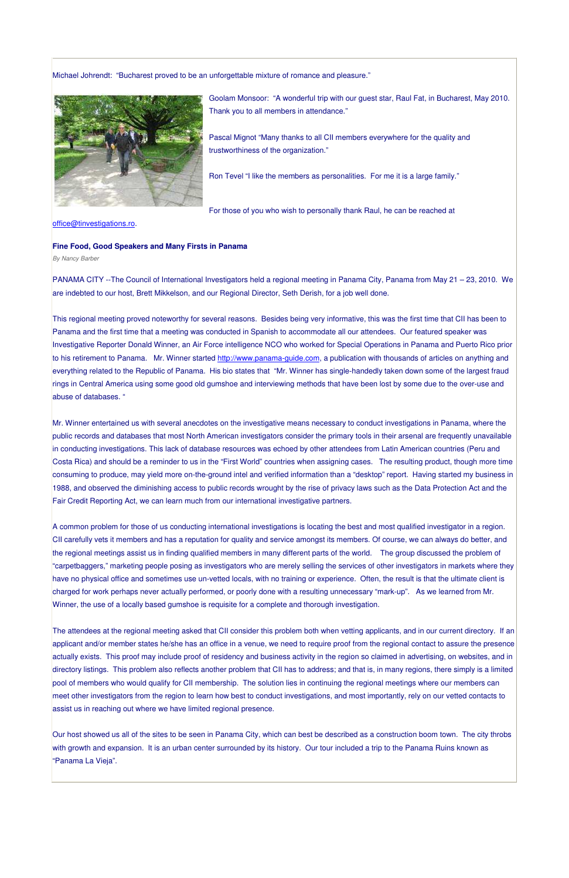Michael Johrendt: "Bucharest proved to be an unforgettable mixture of romance and pleasure."



Goolam Monsoor: "A wonderful trip with our guest star, Raul Fat, in Bucharest, May 2010. Thank you to all members in attendance."

Pascal Mignot "Many thanks to all CII members everywhere for the quality and trustworthiness of the organization."

Ron Tevel "I like the members as personalities. For me it is a large family."

For those of you who wish to personally thank Raul, he can be reached at

office@tinvestigations.ro.

#### **Fine Food, Good Speakers and Many Firsts in Panama**

*By Nancy Barber*

PANAMA CITY --The Council of International Investigators held a regional meeting in Panama City, Panama from May 21 – 23, 2010. We are indebted to our host, Brett Mikkelson, and our Regional Director, Seth Derish, for a job well done.

This regional meeting proved noteworthy for several reasons. Besides being very informative, this was the first time that CII has been to Panama and the first time that a meeting was conducted in Spanish to accommodate all our attendees. Our featured speaker was Investigative Reporter Donald Winner, an Air Force intelligence NCO who worked for Special Operations in Panama and Puerto Rico prior to his retirement to Panama. Mr. Winner started http://www.panama-guide.com, a publication with thousands of articles on anything and everything related to the Republic of Panama. His bio states that "Mr. Winner has single-handedly taken down some of the largest fraud rings in Central America using some good old gumshoe and interviewing methods that have been lost by some due to the over-use and abuse of databases. "

Mr. Winner entertained us with several anecdotes on the investigative means necessary to conduct investigations in Panama, where the public records and databases that most North American investigators consider the primary tools in their arsenal are frequently unavailable in conducting investigations. This lack of database resources was echoed by other attendees from Latin American countries (Peru and Costa Rica) and should be a reminder to us in the "First World" countries when assigning cases. The resulting product, though more time consuming to produce, may yield more on-the-ground intel and verified information than a "desktop" report. Having started my business in 1988, and observed the diminishing access to public records wrought by the rise of privacy laws such as the Data Protection Act and the Fair Credit Reporting Act, we can learn much from our international investigative partners.

Our host showed us all of the sites to be seen in Panama City, which can best be described as a construction boom town. The city throbs with growth and expansion. It is an urban center surrounded by its history. Our tour included a trip to the Panama Ruins known as 'Panama La Vieja".

A common problem for those of us conducting international investigations is locating the best and most qualified investigator in a region. CII carefully vets it members and has a reputation for quality and service amongst its members. Of course, we can always do better, and the regional meetings assist us in finding qualified members in many different parts of the world. The group discussed the problem of "carpetbaggers," marketing people posing as investigators who are merely selling the services of other investigators in markets where they have no physical office and sometimes use un-vetted locals, with no training or experience. Often, the result is that the ultimate client is charged for work perhaps never actually performed, or poorly done with a resulting unnecessary "mark-up". As we learned from Mr. Winner, the use of a locally based gumshoe is requisite for a complete and thorough investigation.

The attendees at the regional meeting asked that CII consider this problem both when vetting applicants, and in our current directory. If an )licant and/or member states he/she has an office in a venue, we need to require proof from the regional contact to assure the presence actually exists. This proof may include proof of residency and business activity in the region so claimed in advertising, on websites, and in directory listings. This problem also reflects another problem that CII has to address; and that is, in many regions, there simply is a limited pool of members who would qualify for CII membership. The solution lies in continuing the regional meetings where our members can meet other investigators from the region to learn how best to conduct investigations, and most importantly, rely on our vetted contacts to assist us in reaching out where we have limited regional presence.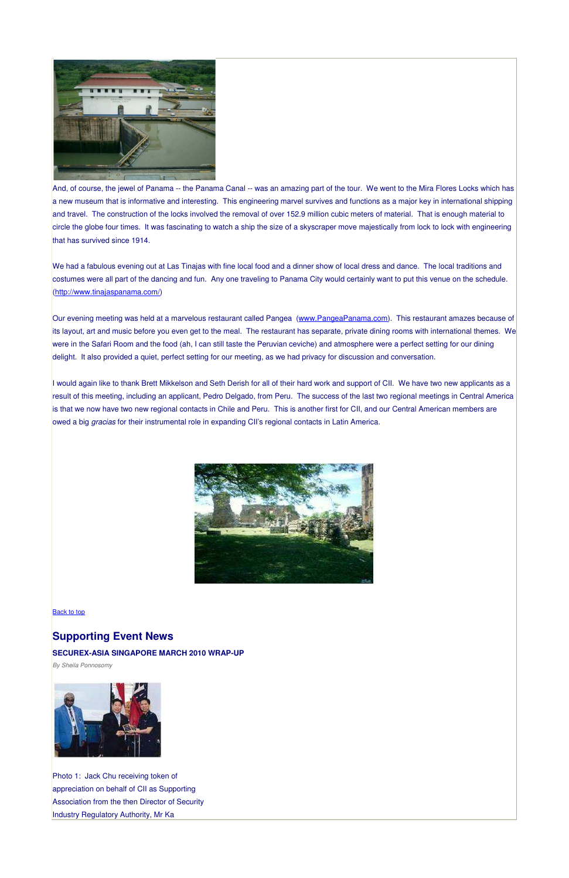

And, of course, the jewel of Panama -- the Panama Canal -- was an amazing part of the tour. We went to the Mira Flores Locks which has a new museum that is informative and interesting. This engineering marvel survives and functions as a major key in international shipping and travel. The construction of the locks involved the removal of over 152.9 million cubic meters of material. That is enough material to circle the globe four times. It was fascinating to watch a ship the size of a skyscraper move majestically from lock to lock with engineering that has survived since 1914.

Our evening meeting was held at a marvelous restaurant called Pangea (www.PangeaPanama.com). This restaurant amazes because of its layout, art and music before you even get to the meal. The restaurant has separate, private dining rooms with international themes. We were in the Safari Room and the food (ah, I can still taste the Peruvian ceviche) and atmosphere were a perfect setting for our dining delight. It also provided a quiet, perfect setting for our meeting, as we had privacy for discussion and conversation.

We had a fabulous evening out at Las Tinajas with fine local food and a dinner show of local dress and dance. The local traditions and costumes were all part of the dancing and fun. Any one traveling to Panama City would certainly want to put this venue on the schedule. (http://www.tinajaspanama.com/)

Photo 1: Jack Chu receiving token of appreciation on behalf of CII as Supporting Association from the then Director of Security Industry Regulatory Authority, Mr Ka

I would again like to thank Brett Mikkelson and Seth Derish for all of their hard work and support of CII. We have two new applicants as a result of this meeting, including an applicant, Pedro Delgado, from Peru. The success of the last two regional meetings in Central America is that we now have two new regional contacts in Chile and Peru. This is another first for CII, and our Central American members are owed a big *gracias* for their instrumental role in expanding CII's regional contacts in Latin America.



**Back to top** 

**Supporting Event News**

#### **SECUREX-ASIA SINGAPORE MARCH 2010 WRAP-UP**

*By Sheila Ponnosomy*

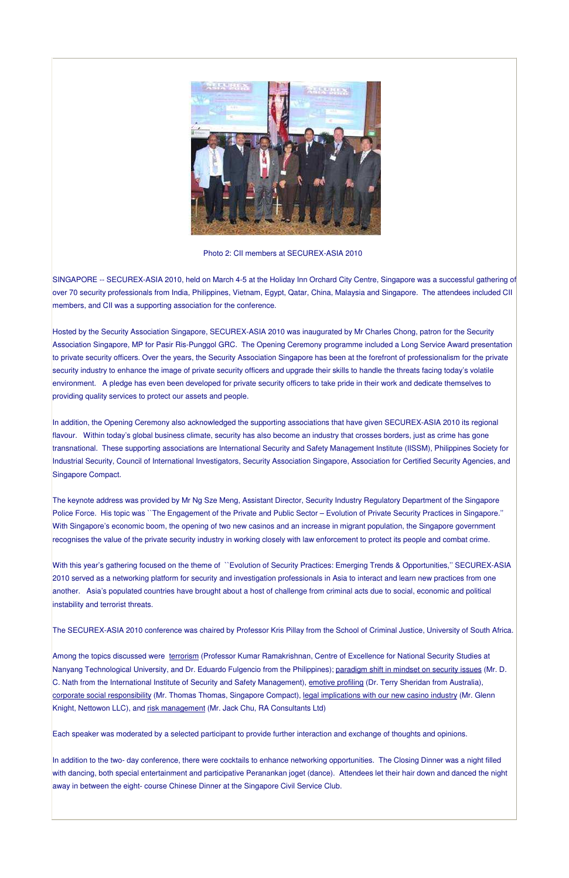

Photo 2: CII members at SECUREX-ASIA 2010

SINGAPORE -- SECUREX-ASIA 2010, held on March 4-5 at the Holiday Inn Orchard City Centre, Singapore was a successful gathering of over 70 security professionals from India, Philippines, Vietnam, Egypt, Qatar, China, Malaysia and Singapore. The attendees included CII members, and CII was a supporting association for the conference.

Hosted by the Security Association Singapore, SECUREX-ASIA 2010 was inaugurated by Mr Charles Chong, patron for the Security Association Singapore, MP for Pasir Ris-Punggol GRC. The Opening Ceremony programme included a Long Service Award presentation to private security officers. Over the years, the Security Association Singapore has been at the forefront of professionalism for the private security industry to enhance the image of private security officers and upgrade their skills to handle the threats facing today's volatile environment. A pledge has even been developed for private security officers to take pride in their work and dedicate themselves to providing quality services to protect our assets and people.

In addition, the Opening Ceremony also acknowledged the supporting associations that have given SECUREX-ASIA 2010 its regional flavour. Within today's global business climate, security has also become an industry that crosses borders, just as crime has gone transnational. These supporting associations are International Security and Safety Management Institute (IISSM), Philippines Society for Industrial Security, Council of International Investigators, Security Association Singapore, Association for Certified Security Agencies, and Singapore Compact.

Among the topics discussed were terrorism (Professor Kumar Ramakrishnan, Centre of Excellence for National Security Studies at Nanyang Technological University, and Dr. Eduardo Fulgencio from the Philippines); paradigm shift in mindset on security issues (Mr. D. C. Nath from the International Institute of Security and Safety Management), emotive profiling (Dr. Terry Sheridan from Australia), corporate social responsibility (Mr. Thomas Thomas, Singapore Compact), legal implications with our new casino industry (Mr. Glenn Knight, Nettowon LLC), and risk management (Mr. Jack Chu, RA Consultants Ltd)

The keynote address was provided by Mr Ng Sze Meng, Assistant Director, Security Industry Regulatory Department of the Singapore Police Force. His topic was ``The Engagement of the Private and Public Sector – Evolution of Private Security Practices in Singapore.'' With Singapore's economic boom, the opening of two new casinos and an increase in migrant population, the Singapore government recognises the value of the private security industry in working closely with law enforcement to protect its people and combat crime.

With this year's gathering focused on the theme of ``Evolution of Security Practices: Emerging Trends & Opportunities,'' SECUREX-ASIA 2010 served as a networking platform for security and investigation professionals in Asia to interact and learn new practices from one another.Asia's populated countries have brought about a host of challenge from criminal acts due to social, economic and political instability and terrorist threats.

The SECUREX-ASIA 2010 conference was chaired by Professor Kris Pillay from the School of Criminal Justice, University of South Africa.

Each speaker was moderated by a selected participant to provide further interaction and exchange of thoughts and opinions.

In addition to the two- day conference, there were cocktails to enhance networking opportunities. The Closing Dinner was a night filled with dancing, both special entertainment and participative Peranankan joget (dance). Attendees let their hair down and danced the night away in between the eight- course Chinese Dinner at the Singapore Civil Service Club.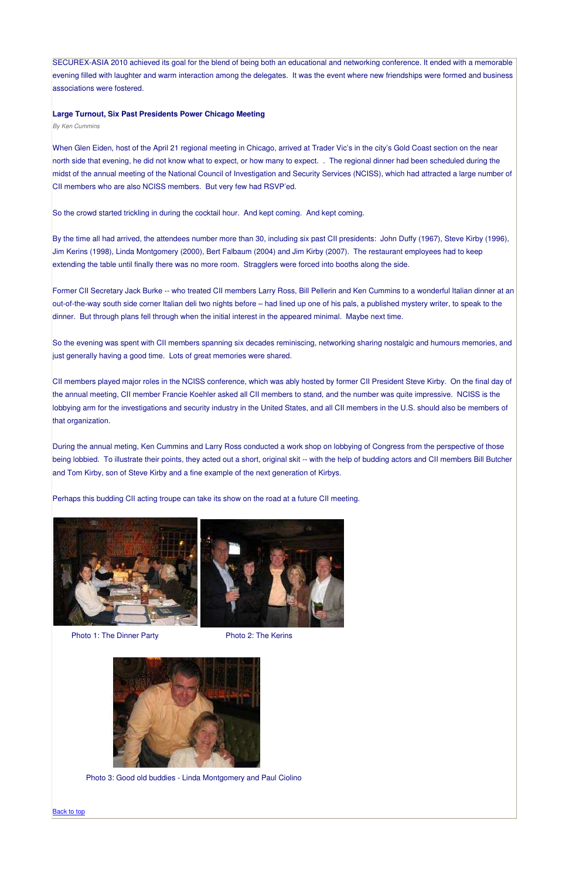SECUREX-ASIA 2010 achieved its goal for the blend of being both an educational and networking conference. It ended with a memorable evening filled with laughter and warm interaction among the delegates. It was the event where new friendships were formed and business associations were fostered.

#### **Large Turnout, Six Past Presidents Power Chicago Meeting**

*By Ken Cummins*

When Glen Eiden, host of the April 21 regional meeting in Chicago, arrived at Trader Vic's in the city's Gold Coast section on the near north side that evening, he did not know what to expect, or how many to expect. . The regional dinner had been scheduled during the midst of the annual meeting of the National Council of Investigation and Security Services (NCISS), which had attracted a large number of CII members who are also NCISS members. But very few had RSVP'ed.

So the crowd started trickling in during the cocktail hour. And kept coming. And kept coming.

By the time all had arrived, the attendees number more than 30, including six past CII presidents: John Duffy (1967), Steve Kirby (1996), Jim Kerins (1998), Linda Montgomery (2000), Bert Falbaum (2004) and Jim Kirby (2007). The restaurant employees had to keep extending the table until finally there was no more room. Stragglers were forced into booths along the side.

Former CII Secretary Jack Burke -- who treated CII members Larry Ross, Bill Pellerin and Ken Cummins to a wonderful Italian dinner at an out-of-the-way south side corner Italian deli two nights before – had lined up one of his pals, a published mystery writer, to speak to the dinner. But through plans fell through when the initial interest in the appeared minimal. Maybe next time.

So the evening was spent with CII members spanning six decades reminiscing, networking sharing nostalgic and humours memories, and just generally having a good time. Lots of great memories were shared.

CII members played major roles in the NCISS conference, which was ably hosted by former CII President Steve Kirby. On the final day of the annual meeting, CII member Francie Koehler asked all CII members to stand, and the number was quite impressive. NCISS is the lobbying arm for the investigations and security industry in the United States, and all CII members in the U.S. should also be members of that organization.

During the annual meting, Ken Cummins and Larry Ross conducted a work shop on lobbying of Congress from the perspective of those being lobbied. To illustrate their points, they acted out a short, original skit -- with the help of budding actors and CII members Bill Butcher and Tom Kirby, son of Steve Kirby and a fine example of the next generation of Kirbys.

Perhaps this budding CII acting troupe can take its show on the road at a future CII meeting.



Photo 1: The Dinner Party Photo 2: The Kerins



Photo 3: Good old buddies - Linda Montgomery and Paul Ciolino

Back to top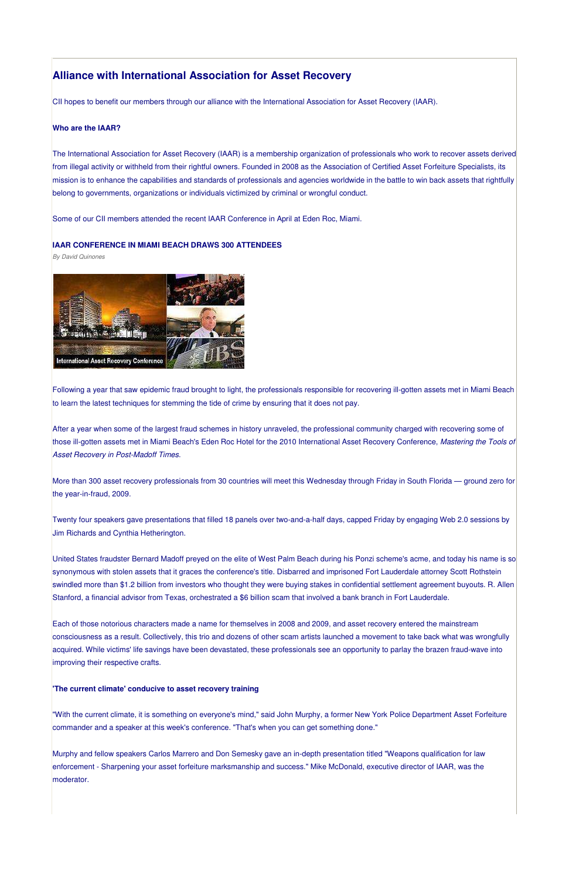# **Alliance with International Association for Asset Recovery**

CII hopes to benefit our members through our alliance with the International Association for Asset Recovery (IAAR).

#### **Who are the IAAR?**

The International Association for Asset Recovery (IAAR) is a membership organization of professionals who work to recover assets derived from illegal activity or withheld from their rightful owners. Founded in 2008 as the Association of Certified Asset Forfeiture Specialists, its mission is to enhance the capabilities and standards of professionals and agencies worldwide in the battle to win back assets that rightfully belong to governments, organizations or individuals victimized by criminal or wrongful conduct.

Some of our CII members attended the recent IAAR Conference in April at Eden Roc, Miami.

#### **IAAR CONFERENCE IN MIAMI BEACH DRAWS 300 ATTENDEES**

*By David Quinones*



Following a year that saw epidemic fraud brought to light, the professionals responsible for recovering ill-gotten assets met in Miami Beach to learn the latest techniques for stemming the tide of crime by ensuring that it does not pay.

After a year when some of the largest fraud schemes in history unraveled, the professional community charged with recovering some of those ill-gotten assets met in Miami Beach's Eden Roc Hotel for the 2010 International Asset Recovery Conference, *Mastering the Tools of Asset Recovery in Post-Madoff Times*.

More than 300 asset recovery professionals from 30 countries will meet this Wednesday through Friday in South Florida — ground zero for the year-in-fraud, 2009.

Twenty four speakers gave presentations that filled 18 panels over two-and-a-half days, capped Friday by engaging Web 2.0 sessions by Jim Richards and Cynthia Hetherington.

United States fraudster Bernard Madoff preyed on the elite of West Palm Beach during his Ponzi scheme's acme, and today his name is so synonymous with stolen assets that it graces the conference's title. Disbarred and imprisoned Fort Lauderdale attorney Scott Rothstein swindled more than \$1.2 billion from investors who thought they were buying stakes in confidential settlement agreement buyouts. R. Allen Stanford, a financial advisor from Texas, orchestrated a \$6 billion scam that involved a bank branch in Fort Lauderdale.

Each of those notorious characters made a name for themselves in 2008 and 2009, and asset recovery entered the mainstream consciousness as a result. Collectively, this trio and dozens of other scam artists launched a movement to take back what was wrongfully

acquired. While victims' life savings have been devastated, these professionals see an opportunity to parlay the brazen fraud-wave into improving their respective crafts.

**'The current climate' conducive to asset recovery training**

"With the current climate, it is something on everyone's mind," said John Murphy, a former New York Police Department Asset Forfeiture commander and a speaker at this week's conference. "That's when you can get something done."

Murphy and fellow speakers Carlos Marrero and Don Semesky gave an in-depth presentation titled "Weapons qualification for law enforcement - Sharpening your asset forfeiture marksmanship and success." Mike McDonald, executive director of IAAR, was the moderator.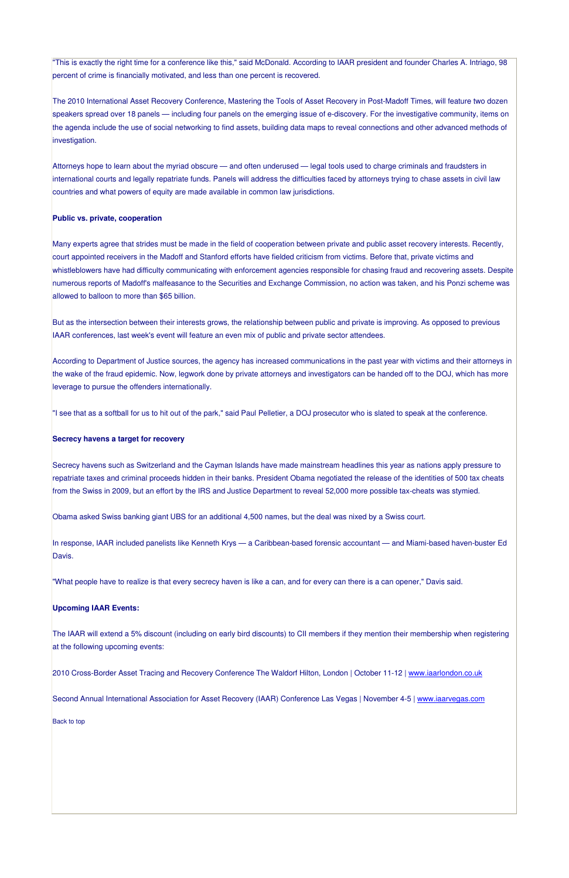"This is exactly the right time for a conference like this," said McDonald. According to IAAR president and founder Charles A. Intriago, 98 percent of crime is financially motivated, and less than one percent is recovered.

The 2010 International Asset Recovery Conference, Mastering the Tools of Asset Recovery in Post-Madoff Times, will feature two dozen speakers spread over 18 panels — including four panels on the emerging issue of e-discovery. For the investigative community, items on the agenda include the use of social networking to find assets, building data maps to reveal connections and other advanced methods of investigation.

Attorneys hope to learn about the myriad obscure — and often underused — legal tools used to charge criminals and fraudsters in international courts and legally repatriate funds. Panels will address the difficulties faced by attorneys trying to chase assets in civil law countries and what powers of equity are made available in common law jurisdictions.

#### **Public vs. private, cooperation**

Many experts agree that strides must be made in the field of cooperation between private and public asset recovery interests. Recently, court appointed receivers in the Madoff and Stanford efforts have fielded criticism from victims. Before that, private victims and whistleblowers have had difficulty communicating with enforcement agencies responsible for chasing fraud and recovering assets. Despite numerous reports of Madoff's malfeasance to the Securities and Exchange Commission, no action was taken, and his Ponzi scheme was allowed to balloon to more than \$65 billion.

In response, IAAR included panelists like Kenneth Krys — a Caribbean-based forensic accountant — and Miami-based haven-buster Ed Davis.

But as the intersection between their interests grows, the relationship between public and private is improving. As opposed to previous IAAR conferences, last week's event will feature an even mix of public and private sector attendees.

According to Department of Justice sources, the agency has increased communications in the past year with victims and their attorneys in the wake of the fraud epidemic. Now, legwork done by private attorneys and investigators can be handed off to the DOJ, which has more leverage to pursue the offenders internationally.

"I see that as a softball for us to hit out of the park," said Paul Pelletier, a DOJ prosecutor who is slated to speak at the conference.

#### **Secrecy havens a target for recovery**

Secrecy havens such as Switzerland and the Cayman Islands have made mainstream headlines this year as nations apply pressure to repatriate taxes and criminal proceeds hidden in their banks. President Obama negotiated the release of the identities of 500 tax cheats from the Swiss in 2009, but an effort by the IRS and Justice Department to reveal 52,000 more possible tax-cheats was stymied.

Obama asked Swiss banking giant UBS for an additional 4,500 names, but the deal was nixed by a Swiss court.

"What people have to realize is that every secrecy haven is like a can, and for every can there is a can opener," Davis said.

#### **Upcoming IAAR Events:**

The IAAR will extend a 5% discount (including on early bird discounts) to CII members if they mention their membership when registering

#### at the following upcoming events:

2010 Cross-Border Asset Tracing and Recovery Conference The Waldorf Hilton, London | October 11-12 | www.iaarlondon.co.uk

Second Annual International Association for Asset Recovery (IAAR) Conference Las Vegas | November 4-5 | www.iaarvegas.com

Back to top